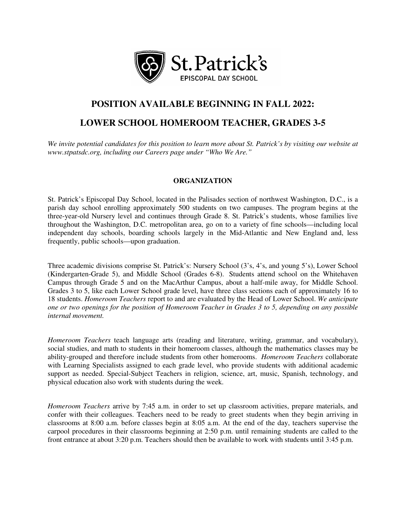

# **POSITION AVAILABLE BEGINNING IN FALL 2022:**

# **LOWER SCHOOL HOMEROOM TEACHER, GRADES 3-5**

*We invite potential candidates for this position to learn more about St. Patrick's by visiting our website at www.stpatsdc.org, including our Careers page under "Who We Are."*

## **ORGANIZATION**

St. Patrick's Episcopal Day School, located in the Palisades section of northwest Washington, D.C., is a parish day school enrolling approximately 500 students on two campuses. The program begins at the three-year-old Nursery level and continues through Grade 8. St. Patrick's students, whose families live throughout the Washington, D.C. metropolitan area, go on to a variety of fine schools—including local independent day schools, boarding schools largely in the Mid-Atlantic and New England and, less frequently, public schools—upon graduation.

Three academic divisions comprise St. Patrick's: Nursery School (3's, 4's, and young 5's), Lower School (Kindergarten-Grade 5), and Middle School (Grades 6-8). Students attend school on the Whitehaven Campus through Grade 5 and on the MacArthur Campus, about a half-mile away, for Middle School. Grades 3 to 5, like each Lower School grade level, have three class sections each of approximately 16 to 18 students. *Homeroom Teachers* report to and are evaluated by the Head of Lower School. *We anticipate one or two openings for the position of Homeroom Teacher in Grades 3 to 5, depending on any possible internal movement.*

*Homeroom Teachers* teach language arts (reading and literature, writing, grammar, and vocabulary), social studies, and math to students in their homeroom classes, although the mathematics classes may be ability-grouped and therefore include students from other homerooms. *Homeroom Teachers* collaborate with Learning Specialists assigned to each grade level, who provide students with additional academic support as needed. Special-Subject Teachers in religion, science, art, music, Spanish, technology, and physical education also work with students during the week.

*Homeroom Teachers* arrive by 7:45 a.m. in order to set up classroom activities, prepare materials, and confer with their colleagues. Teachers need to be ready to greet students when they begin arriving in classrooms at 8:00 a.m. before classes begin at 8:05 a.m. At the end of the day, teachers supervise the carpool procedures in their classrooms beginning at 2:50 p.m. until remaining students are called to the front entrance at about 3:20 p.m. Teachers should then be available to work with students until 3:45 p.m.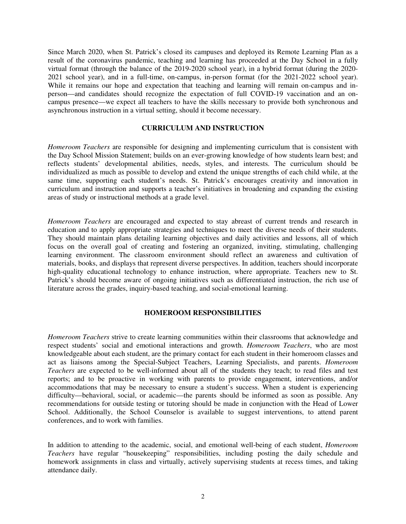Since March 2020, when St. Patrick's closed its campuses and deployed its Remote Learning Plan as a result of the coronavirus pandemic, teaching and learning has proceeded at the Day School in a fully virtual format (through the balance of the 2019-2020 school year), in a hybrid format (during the 2020- 2021 school year), and in a full-time, on-campus, in-person format (for the 2021-2022 school year). While it remains our hope and expectation that teaching and learning will remain on-campus and inperson—and candidates should recognize the expectation of full COVID-19 vaccination and an oncampus presence—we expect all teachers to have the skills necessary to provide both synchronous and asynchronous instruction in a virtual setting, should it become necessary.

### **CURRICULUM AND INSTRUCTION**

*Homeroom Teachers* are responsible for designing and implementing curriculum that is consistent with the Day School Mission Statement; builds on an ever-growing knowledge of how students learn best; and reflects students' developmental abilities, needs, styles, and interests. The curriculum should be individualized as much as possible to develop and extend the unique strengths of each child while, at the same time, supporting each student's needs. St. Patrick's encourages creativity and innovation in curriculum and instruction and supports a teacher's initiatives in broadening and expanding the existing areas of study or instructional methods at a grade level.

*Homeroom Teachers* are encouraged and expected to stay abreast of current trends and research in education and to apply appropriate strategies and techniques to meet the diverse needs of their students. They should maintain plans detailing learning objectives and daily activities and lessons, all of which focus on the overall goal of creating and fostering an organized, inviting, stimulating, challenging learning environment. The classroom environment should reflect an awareness and cultivation of materials, books, and displays that represent diverse perspectives. In addition, teachers should incorporate high-quality educational technology to enhance instruction, where appropriate. Teachers new to St. Patrick's should become aware of ongoing initiatives such as differentiated instruction, the rich use of literature across the grades, inquiry-based teaching, and social-emotional learning.

## **HOMEROOM RESPONSIBILITIES**

*Homeroom Teachers* strive to create learning communities within their classrooms that acknowledge and respect students' social and emotional interactions and growth. *Homeroom Teachers*, who are most knowledgeable about each student, are the primary contact for each student in their homeroom classes and act as liaisons among the Special-Subject Teachers, Learning Specialists, and parents. *Homeroom Teachers* are expected to be well-informed about all of the students they teach; to read files and test reports; and to be proactive in working with parents to provide engagement, interventions, and/or accommodations that may be necessary to ensure a student's success. When a student is experiencing difficulty—behavioral, social, or academic—the parents should be informed as soon as possible. Any recommendations for outside testing or tutoring should be made in conjunction with the Head of Lower School. Additionally, the School Counselor is available to suggest interventions, to attend parent conferences, and to work with families.

In addition to attending to the academic, social, and emotional well-being of each student, *Homeroom Teachers* have regular "housekeeping" responsibilities, including posting the daily schedule and homework assignments in class and virtually, actively supervising students at recess times, and taking attendance daily.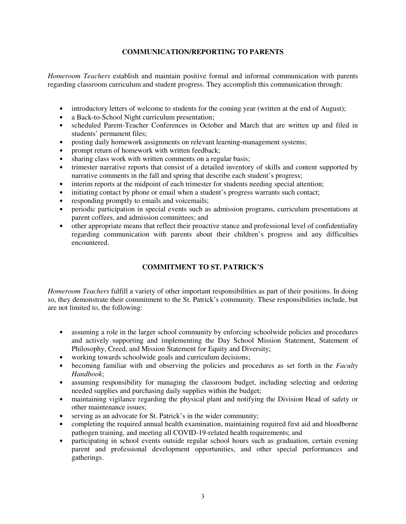# **COMMUNICATION/REPORTING TO PARENTS**

*Homeroom Teachers* establish and maintain positive formal and informal communication with parents regarding classroom curriculum and student progress. They accomplish this communication through:

- introductory letters of welcome to students for the coming year (written at the end of August);
- a Back-to-School Night curriculum presentation;
- scheduled Parent-Teacher Conferences in October and March that are written up and filed in students' permanent files;
- posting daily homework assignments on relevant learning-management systems;
- prompt return of homework with written feedback;
- sharing class work with written comments on a regular basis;
- trimester narrative reports that consist of a detailed inventory of skills and content supported by narrative comments in the fall and spring that describe each student's progress;
- interim reports at the midpoint of each trimester for students needing special attention;
- initiating contact by phone or email when a student's progress warrants such contact;
- responding promptly to emails and voicemails;
- periodic participation in special events such as admission programs, curriculum presentations at parent coffees, and admission committees; and
- other appropriate means that reflect their proactive stance and professional level of confidentiality regarding communication with parents about their children's progress and any difficulties encountered.

# **COMMITMENT TO ST. PATRICK'S**

*Homeroom Teachers* fulfill a variety of other important responsibilities as part of their positions. In doing so, they demonstrate their commitment to the St. Patrick's community. These responsibilities include, but are not limited to, the following:

- assuming a role in the larger school community by enforcing schoolwide policies and procedures and actively supporting and implementing the Day School Mission Statement, Statement of Philosophy, Creed, and Mission Statement for Equity and Diversity;
- working towards schoolwide goals and curriculum decisions;
- becoming familiar with and observing the policies and procedures as set forth in the *Faculty Handbook*;
- assuming responsibility for managing the classroom budget, including selecting and ordering needed supplies and purchasing daily supplies within the budget;
- maintaining vigilance regarding the physical plant and notifying the Division Head of safety or other maintenance issues;
- serving as an advocate for St. Patrick's in the wider community;
- completing the required annual health examination, maintaining required first aid and bloodborne pathogen training, and meeting all COVID-19-related health requirements; and
- participating in school events outside regular school hours such as graduation, certain evening parent and professional development opportunities, and other special performances and gatherings.